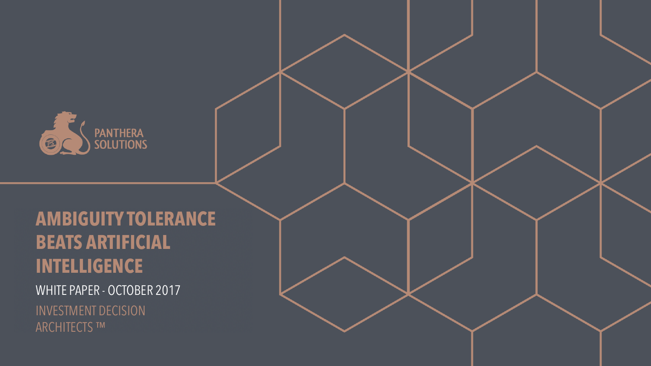

<sup>1</sup> **PANTHERA SOLUTIONS** AMBIGUITY TOLERANCE BEATS ARTIFICIAL INTELLIGENCE PAGE: Intelligence page: Intelligence page: Intelligence page: Intelligence page: Intelligence pa

WHITE PAPER - OCTOBER 2017 INVESTMENT DECISION ARCHITECTS ™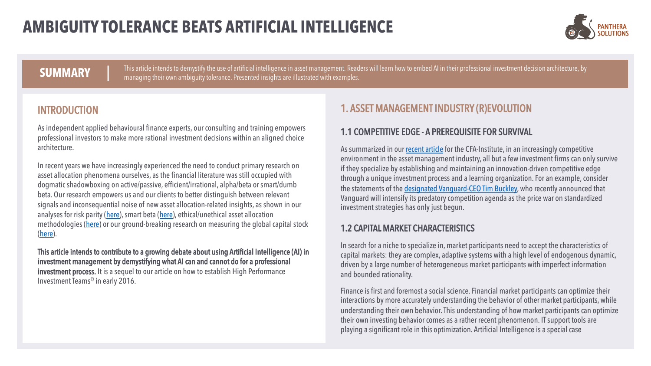

**SUMMARY** This article intends to demystify the use of artificial intelligence in asset management. Readers will learn how to embed AI in their professional investment decision architecture, by<br>managing their own ambiguity

#### INTRODUCTION

As independent applied behavioural finance experts, our consulting and training empowers professional investors to make more rational investment decisions within an aligned choice architecture.

In recent years we have increasingly experienced the need to conduct primary research on asset allocation phenomena ourselves, as the financial literature was still occupied with dogmatic shadowboxing on active/passive, efficient/irrational, alpha/beta or smart/dumb beta. Our research empowers us and our clients to better distinguish between relevant signals and inconsequential noise of new asset allocation-related insights, as shown in our analyses for risk parity [\(here\)](http://www.dasinvestment.com/nc/investments/fonds/news/datum/2012/11/20/risk-parity-eine-modeerscheinung-unterschaetzt-ihren-blinden-fleck/), smart beta [\(here\)](http://www.panthera.mc/2014/09/psc-914-smart-beta-dekonstruktion/), ethical/unethical asset allocation methodologies [\(here\)](http://www.panthera.mc/2015/02/unethische-asset-allocation-methoden/) or our ground-breaking research on measuring the global capital stock [\(here\)](https://papers.ssrn.com/sol3/papers.cfm?abstract_id=2808438).

This article intends to contribute to a growing debate about using Artificial Intelligence (AI) in investment management by demystifying what AI can and cannot do for a professional investment process. It is a sequel to our article on how to establish High Performance Investment Teams© in early 2016.

#### 1. ASSET MANAGEMENT INDUSTRY (R)EVOLUTION

#### 1.1 COMPETITIVE EDGE - A PREREQUISITE FOR SURVIVAL

As summarized in our [recent article](https://blogs.cfainstitute.org/investor/2017/03/30/survival-strategy-a-learning-investment-team/) for the CFA-Institute, in an increasingly competitive environment in the asset management industry, all but a few investment firms can only survive if they specialize by establishing and maintaining an innovation-driven competitive edge through a unique investment process and a learning organization. For an example, consider the statements of the [designated Vanguard-CEO Tim Buckley,](http://www.institutional-money.com/news/uebersicht/headline/vanguard-der-preiskampf-hat-gerade-erst-begonnen-137175/?tx_fizend_pi2%5bref%5d=2) who recently announced that Vanguard will intensify its predatory competition agenda as the price war on standardized investment strategies has only just begun.

#### 1.2 CAPITAL MARKET CHARACTERISTICS

In search for a niche to specialize in, market participants need to accept the characteristics of capital markets: they are complex, adaptive systems with a high level of endogenous dynamic, driven by a large number of heterogeneous market participants with imperfect information and bounded rationality.

Finance is first and foremost a social science. Financial market participants can optimize their interactions by more accurately understanding the behavior of other market participants, while understanding their own behavior. This understanding of how market participants can optimize their own investing behavior comes as a rather recent phenomenon. IT support tools are playing a significant role in this optimization. Artificial Intelligence is a special case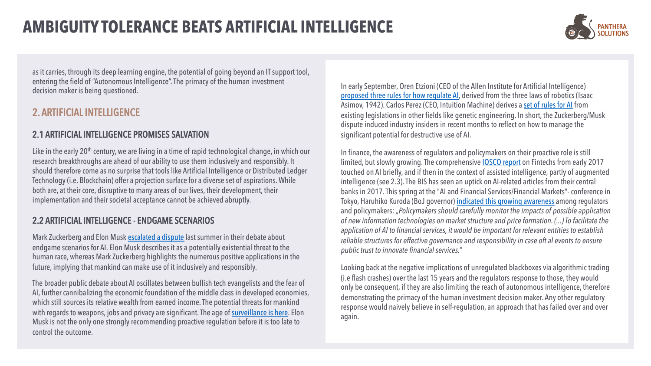

as it carries, through its deep learning engine, the potential of going beyond an IT support tool, entering the field of "Autonomous Intelligence". The primacy of the human investment decision maker is being questioned.

#### 2. ARTIFICIAL INTELLIGENCE

#### 2.1 ARTIFICIAL INTELLIGENCE PROMISES SALVATION

Like in the early 20<sup>th</sup> century, we are living in a time of rapid technological change, in which our research breakthroughs are ahead of our ability to use them inclusively and responsibly. It should therefore come as no surprise that tools like Artificial Intelligence or Distributed Ledger Technology (i.e. Blockchain) offer a projection surface for a diverse set of aspirations. While both are, at their core, disruptive to many areas of our lives, their development, their implementation and their societal acceptance cannot be achieved abruptly.

#### 2.2 ARTIFICIAL INTELLIGENCE - ENDGAME SCENARIOS

Mark Zuckerberg and Elon Musk [escalated a dispute](http://money.cnn.com/2017/07/25/technology/elon-musk-mark-zuckerberg-ai-artificial-intelligence/index.html) last summer in their debate about endgame scenarios for AI. Elon Musk describes it as a potentially existential threat to the human race, whereas Mark Zuckerberg highlights the numerous positive applications in the future, implying that mankind can make use of it inclusively and responsibly.

The broader public debate about AI oscillates between bullish tech evangelists and the fear of AI, further cannibalizing the economic foundation of the middle class in developed economies, which still sources its relative wealth from earned income. The potential threats for mankind with regards to weapons, jobs and privacy are significant. The age of [surveillance is here.](https://qz.com/1060606/the-age-of-ai-surveillance-is-here/) Elon Musk is not the only one strongly recommending proactive regulation before it is too late to control the outcome.

In early September, Oren Etzioni (CEO of the Allen Institute for Artificial Intelligence) [proposed three rules for how regulate AI,](https://www.nytimes.com/2017/09/01/opinion/artificial-intelligence-regulations-rules.html) derived from the three laws of robotics (Isaac Asimov, 1942). Carlos Perez (CEO, Intuition Machine) derives a [set of rules for AI](https://medium.com/intuitionmachine/how-to-regulate-artificial-intelligence-10725701043b) from existing legislations in other fields like genetic engineering. In short, the Zuckerberg/Musk dispute induced industry insiders in recent months to reflect on how to manage the significant potential for destructive use of AI.

In finance, the awareness of regulators and policymakers on their proactive role is still limited, but slowly growing. The comprehensive [IOSCO report](https://www.iosco.org/library/pubdocs/pdf/IOSCOPD554.pdf) on Fintechs from early 2017 touched on AI briefly, and if then in the context of assisted intelligence, partly of augmented intelligence (see 2.3). The BIS has seen an uptick on AI-related articles from their central banks in 2017. This spring at the "AI and Financial Services/Financial Markets"- conference in Tokyo, Haruhiko Kuroda (BoJ governor) [indicated this growing awareness](http://www.bis.org/review/r170418e.pdf) among regulators and policymakers: *"Policymakers should carefully monitor the impacts of possible application of new information technologies on market structure and price formation. (...) To facilitate the application of AI to financial services, it would be important for relevant entities to establish reliable structures for effective governance and responsibility in case oft al events to ensure public trust to innovate financial services."*

Looking back at the negative implications of unregulated blackboxesvia algorithmic trading (i.e flash crashes) over the last 15 years and the regulators response to those, they would only be consequent, if they are also limiting the reach of autonomous intelligence, therefore demonstrating the primacy of the human investment decision maker. Any other regulatory response would naively believe in self-regulation, an approach that has failed over and over again.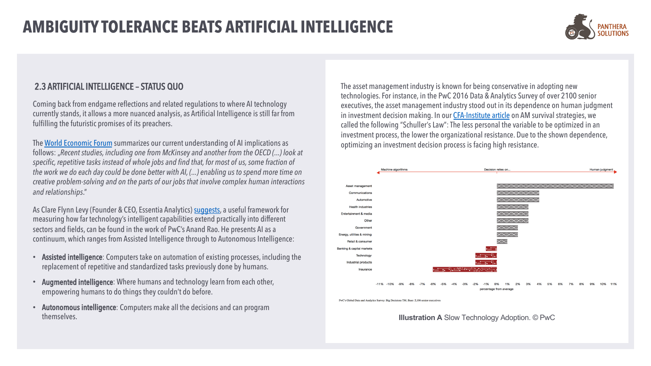

#### 2.3 ARTIFICIAL INTELLIGENCE – STATUS QUO

Coming back from endgame reflections and related regulations to where AI technology currently stands, it allows a more nuanced analysis, as Artificial Intelligence is still far from fulfilling the futuristic promises of its preachers.

The [World Economic Forum](https://medium.com/world-economic-forum/6-ways-to-make-sure-ai-creates-jobs-for-all-and-not-the-few-c57fb218c99f) summarizes our current understanding of AI implications as follows: "*Recent studies, including one from McKinsey and another from the OECD (...) look at specific, repetitive tasks instead of whole jobs and find that, for most of us, some fraction of the work we do each day could be done better with AI, (...) enabling us to spend more time on creative problem-solving and on the parts of our jobs that involve complex human interactions and relationships*."

As Clare Flynn Levy (Founder & CEO, Essentia Analytics) [suggests](https://www.forbes.com/sites/lawrencewintermeyer/2017/06/05/investment-management-and-ai-more-partnership-than-takeover/2/), a useful framework for measuring how far technology's intelligent capabilities extend practically into different sectors and fields, can be found in the work of PwC's Anand Rao. He presents AI as a continuum, which ranges from Assisted Intelligence through to Autonomous Intelligence:

- Assisted intelligence: Computers take on automation of existing processes, including the replacement of repetitive and standardized tasks previously done by humans.
- Augmented intelligence: Where humans and technology learn from each other, empowering humans to do things they couldn't do before.
- Autonomous intelligence: Computers make all the decisions and can program themselves.

The asset management industry is known for being conservative in adopting new technologies. For instance, in the PwC 2016 Data & Analytics Survey of over 2100 senior executives, the asset management industry stood out in its dependence on human judgment in investment decision making. In our [CFA-Institute article](https://blogs.cfainstitute.org/investor/2017/03/30/survival-strategy-a-learning-investment-team/) on AM survival strategies, we called the following "Schuller's Law": The less personal the variable to be optimized in an investment process, the lower the organizational resistance. Due to the shown dependence, optimizing an investment decision process is facing high resistance.



PwC's Global Data and Analytics Survey: Big Decisions TM. Base: 2,106 senior executive

**Illustration A** Slow Technology Adoption. © PwC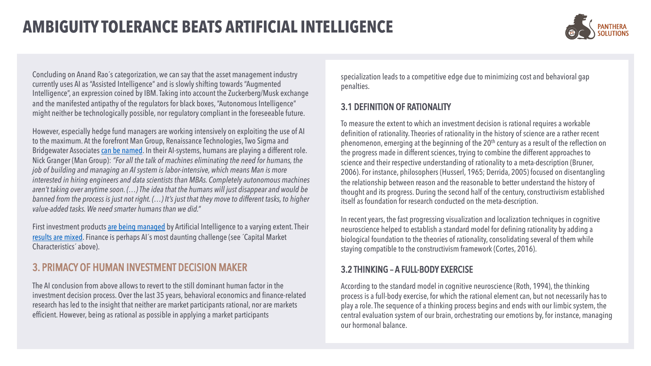

Concluding on Anand Rao´s categorization, we can say that the asset management industry currently uses AI as "Assisted Intelligence" and is slowly shifting towards "Augmented Intelligence", an expression coined by IBM. Taking into account the Zuckerberg/Musk exchange and the manifested antipathy of the regulators for black boxes, "Autonomous Intelligence" might neither be technologically possible, nor regulatory compliant in the foreseeable future.

However, especially hedge fund managers are working intensively on exploiting the use of AI to the maximum. At the forefront Man Group, Renaissance Technologies, Two Sigma and Bridgewater Associates [can be named](https://www.bloomberg.com/news/features/2017-09-27/the-massive-hedge-fund-betting-on-ai). In their AI-systems, humans are playing a different role. Nick Granger (Man Group): *"For all the talk of machines eliminating the need for humans, the job of building and managing an AI system is labor-intensive, which means Man is more interested in hiring engineers and data scientists than MBAs. Completely autonomous machines aren't taking over anytime soon. (…) The idea that the humans will just disappear and would be banned from the process is just not right. (…) It's just that they move to different tasks, to higher value-added tasks. We need smarter humans than we did."*

First investment products [are being managed](http://www.institutional-money.com/news/uebersicht/headline/kuenstliche-intelligenz-statt-trader-sapiens-es-beginnt-jetzt-134799/?tx_fizend_pi2%5bref%5d=2) by Artificial Intelligence to a varying extent. Their [results are mixed.](https://www.cnbc.com/2017/07/12/machines-hedge-funds-humans-quants.html) Finance is perhaps AI´s most daunting challenge (see ´Capital Market Characteristics´ above).

#### 3. PRIMACY OF HUMAN INVESTMENT DECISION MAKER

The AI conclusion from above allows to revert to the still dominant human factor in the investment decision process. Over the last 35 years, behavioral economics and finance-related research has led to the insight that neither are market participants rational, nor are markets efficient. However, being as rational as possible in applying a market participants

specialization leads to a competitive edge due to minimizing cost and behavioral gap penalties.

#### 3.1 DEFINITION OF RATIONALITY

To measure the extent to which an investment decision is rational requires a workable definition of rationality. Theories of rationality in the history of science are a rather recent phenomenon, emerging at the beginning of the 20<sup>th</sup> century as a result of the reflection on the progress made in different sciences, trying to combine the different approaches to science and their respective understanding of rationality to a meta-description (Bruner, 2006). For instance, philosophers (Husserl, 1965; Derrida, 2005) focused on disentangling the relationship between reason and the reasonable to better understand the history of thought and its progress. During the second half of the century, constructivism established itself as foundation for research conducted on the meta-description.

In recent years, the fast progressing visualization and localization techniques in cognitive neuroscience helped to establish a standard model for defining rationality by adding a biological foundation to the theories of rationality, consolidating several of them while staying compatible to the constructivism framework (Cortes, 2016).

#### 3.2 THINKING – A FULL-BODY EXERCISE

According to the standard model in cognitive neuroscience (Roth, 1994), the thinking process is a full-body exercise, for which the rational element can, but not necessarily has to play a role. The sequence of a thinking process begins and ends with our limbic system, the central evaluation system of our brain, orchestrating our emotions by, for instance, managing our hormonal balance.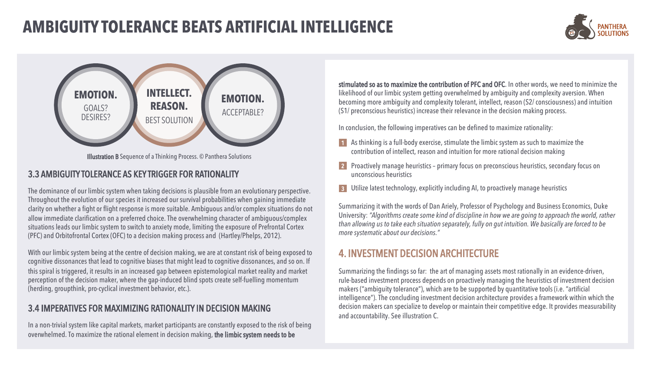



Illustration B Sequence of a Thinking Process. © Panthera Solutions

#### 3.3 AMBIGUITY TOLERANCE AS KEY TRIGGER FOR RATIONALITY

The dominance of our limbic system when taking decisions is plausible from an evolutionary perspective. Throughout the evolution of our species it increased our survival probabilities when gaining immediate clarity on whether a fight or flight response is more suitable. Ambiguous and/or complex situations do not allow immediate clarification on a preferred choice. The overwhelming character of ambiguous/complex situations leads our limbic system to switch to anxiety mode, limiting the exposure of Prefrontal Cortex (PFC) and Orbitofrontal Cortex (OFC) to a decision making process and (Hartley/Phelps, 2012).

With our limbic system being at the centre of decision making, we are at constant risk of being exposed to cognitive dissonances that lead to cognitive biases that might lead to cognitive dissonances, and so on. If this spiral is triggered, it results in an increased gap between epistemological market reality and market perception of the decision maker, where the gap-induced blind spots create self-fuelling momentum (herding, groupthink, pro-cyclical investment behavior, etc.).

#### 3.4 IMPERATIVES FOR MAXIMIZING RATIONALITY IN DECISION MAKING

In a non-trivial system like capital markets, market participants are constantly exposed to the risk of being overwhelmed. To maximize the rational element in decision making, the limbic system needs to be

stimulated so as to maximize the contribution of PFC and OFC. In other words, we need to minimize the likelihood of our limbic system getting overwhelmed by ambiguity and complexity aversion. When becoming more ambiguity and complexity tolerant, intellect, reason (S2/ consciousness) and intuition (S1/ preconscious heuristics) increase their relevance in the decision making process.

In conclusion, the following imperatives can be defined to maximize rationality:

- As thinking is a full-body exercise, stimulate the limbic system as such to maximize the 1 contribution of intellect, reason and intuition for more rational decision making
- Proactively manage heuristics primary focus on preconscious heuristics, secondary focus on 2 unconscious heuristics
- Utilize latest technology, explicitly including AI, to proactively manage heuristics 3

Summarizing it with the words of Dan Ariely, Professor of Psychology and Business Economics, Duke University: *"Algorithms create some kind of discipline in how we are going to approach the world, rather than allowing us to take each situation separately, fully on gut intuition. We basically are forced to be more systematic about our decisions."*

#### 4. INVESTMENT DECISION ARCHITECTURE

Summarizing the findings so far: the art of managing assets most rationally in an evidence-driven, rule-based investment process depends on proactively managing the heuristics of investment decision makers ("ambiguity tolerance"), which are to be supported by quantitative tools (i.e. "artificial intelligence"). The concluding investment decision architecture provides a framework within which the decision makers can specialize to develop or maintain their competitive edge. It provides measurability and accountability. See illustration C.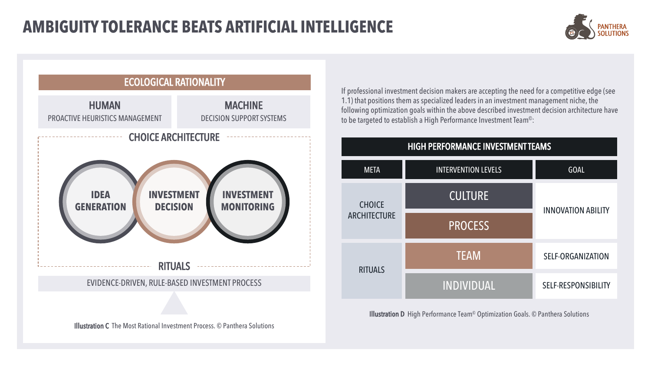



If professional investment decision makers are accepting the need for a competitive edge (see 1.1) that positions them as specialized leaders in an investment management niche, the following optimization goals within the above described investment decision architecture have to be targeted to establish a High Performance Investment Team©:



Illustration D High Performance Team© Optimization Goals. © Panthera Solutions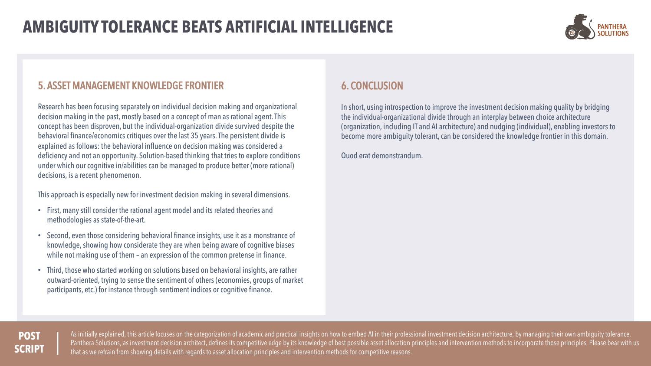

#### 5. ASSET MANAGEMENT KNOWLEDGE FRONTIER

Research has been focusing separately on individual decision making and organizational decision making in the past, mostly based on a concept of man as rational agent. This concept has been disproven, but the individual-organization divide survived despite the behavioral finance/economics critiques over the last 35 years. The persistent divide is explained as follows: the behavioral influence on decision making was considered a deficiency and not an opportunity. Solution-based thinking that tries to explore conditions under which our cognitive in/abilities can be managed to produce better (more rational) decisions, is a recent phenomenon.

This approach is especially new for investment decision making in several dimensions.

- First, many still consider the rational agent model and its related theories and methodologies as state-of-the-art.
- Second, even those considering behavioral finance insights, use it as a monstrance of knowledge, showing how considerate they are when being aware of cognitive biases while not making use of them – an expression of the common pretense in finance.
- Third, those who started working on solutions based on behavioral insights, are rather outward-oriented, trying to sense the sentiment of others (economies, groups of market participants, etc.) for instance through sentiment indices or cognitive finance.

### 6. CONCLUSION

In short, using introspection to improve the investment decision making quality by bridging the individual-organizational divide through an interplay between choice architecture (organization, including IT and AI architecture) and nudging (individual), enabling investors to become more ambiguity tolerant, can be considered the knowledge frontier in this domain.

Quod erat demonstrandum.

#### **POST SCRIPT**

As initially explained, this article focuses on the categorization of academic and practical insights on how to embed AI in their professional investment decision architecture, by managing their own ambiguity tolerance. Panthera Solutions, as investment decision architect, defines its competitive edge by its knowledge of best possible asset allocation principles and intervention methods to incorporate those principles. Please bear with us that as we refrain from showing details with regards to asset allocation principles and intervention methods for competitive reasons.